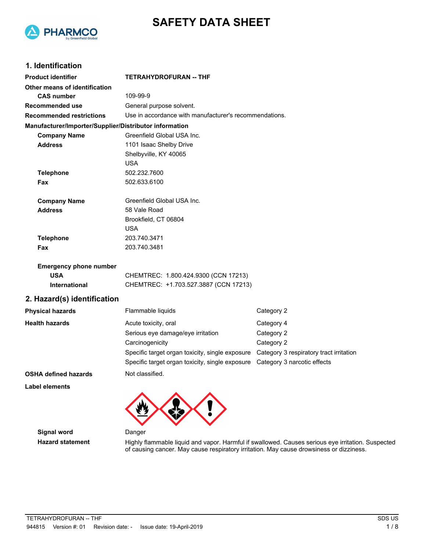



### **1. Identification**

| <b>Product identifier</b>                              | <b>TETRAHYDROFURAN -- THF</b>                                                            |                             |  |
|--------------------------------------------------------|------------------------------------------------------------------------------------------|-----------------------------|--|
| Other means of identification                          |                                                                                          |                             |  |
| <b>CAS number</b>                                      | 109-99-9                                                                                 |                             |  |
| Recommended use                                        | General purpose solvent.                                                                 |                             |  |
| <b>Recommended restrictions</b>                        | Use in accordance with manufacturer's recommendations.                                   |                             |  |
| Manufacturer/Importer/Supplier/Distributor information |                                                                                          |                             |  |
| <b>Company Name</b>                                    | Greenfield Global USA Inc.                                                               |                             |  |
| <b>Address</b>                                         | 1101 Isaac Shelby Drive                                                                  |                             |  |
|                                                        | Shelbyville, KY 40065                                                                    |                             |  |
|                                                        | <b>USA</b>                                                                               |                             |  |
| <b>Telephone</b>                                       | 502.232.7600                                                                             |                             |  |
| Fax                                                    | 502.633.6100                                                                             |                             |  |
| <b>Company Name</b>                                    | Greenfield Global USA Inc.                                                               |                             |  |
| <b>Address</b>                                         | 58 Vale Road                                                                             |                             |  |
|                                                        | Brookfield, CT 06804                                                                     |                             |  |
|                                                        | <b>USA</b>                                                                               |                             |  |
| <b>Telephone</b>                                       | 203.740.3471                                                                             |                             |  |
| Fax                                                    | 203.740.3481                                                                             |                             |  |
| <b>Emergency phone number</b>                          |                                                                                          |                             |  |
| <b>USA</b>                                             | CHEMTREC: 1.800.424.9300 (CCN 17213)                                                     |                             |  |
| International                                          | CHEMTREC: +1.703.527.3887 (CCN 17213)                                                    |                             |  |
| 2. Hazard(s) identification                            |                                                                                          |                             |  |
| <b>Physical hazards</b>                                | Flammable liquids                                                                        | Category 2                  |  |
| <b>Health hazards</b>                                  | Acute toxicity, oral                                                                     | Category 4                  |  |
|                                                        | Serious eye damage/eye irritation                                                        | Category 2                  |  |
|                                                        | Carcinogenicity                                                                          | Category 2                  |  |
|                                                        | Specific target organ toxicity, single exposure  Category 3 respiratory tract irritation |                             |  |
|                                                        | Specific target organ toxicity, single exposure                                          | Category 3 narcotic effects |  |
| <b>OSHA defined hazards</b>                            | Not classified.                                                                          |                             |  |
| Label elements                                         |                                                                                          |                             |  |



**Signal word Danger** 

**Hazard statement** Highly flammable liquid and vapor. Harmful if swallowed. Causes serious eye irritation. Suspected of causing cancer. May cause respiratory irritation. May cause drowsiness or dizziness.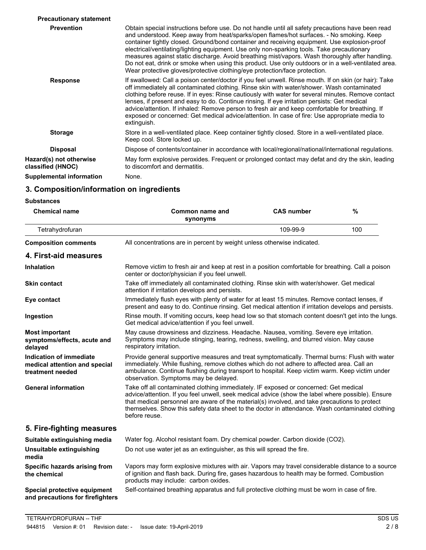| <b>Precautionary statement</b>               |                                                                                                                                                                                                                                                                                                                                                                                                                                                                                                                                                                                                                                                                                    |
|----------------------------------------------|------------------------------------------------------------------------------------------------------------------------------------------------------------------------------------------------------------------------------------------------------------------------------------------------------------------------------------------------------------------------------------------------------------------------------------------------------------------------------------------------------------------------------------------------------------------------------------------------------------------------------------------------------------------------------------|
| <b>Prevention</b>                            | Obtain special instructions before use. Do not handle until all safety precautions have been read<br>and understood. Keep away from heat/sparks/open flames/hot surfaces. - No smoking. Keep<br>container tightly closed. Ground/bond container and receiving equipment. Use explosion-proof<br>electrical/ventilating/lighting equipment. Use only non-sparking tools. Take precautionary<br>measures against static discharge. Avoid breathing mist/vapors. Wash thoroughly after handling.<br>Do not eat, drink or smoke when using this product. Use only outdoors or in a well-ventilated area.<br>Wear protective gloves/protective clothing/eye protection/face protection. |
| <b>Response</b>                              | If swallowed: Call a poison center/doctor if you feel unwell. Rinse mouth. If on skin (or hair): Take<br>off immediately all contaminated clothing. Rinse skin with water/shower. Wash contaminated<br>clothing before reuse. If in eyes: Rinse cautiously with water for several minutes. Remove contact<br>lenses, if present and easy to do. Continue rinsing. If eye irritation persists: Get medical<br>advice/attention. If inhaled: Remove person to fresh air and keep comfortable for breathing. If<br>exposed or concerned: Get medical advice/attention. In case of fire: Use appropriate media to<br>extinguish.                                                       |
| <b>Storage</b>                               | Store in a well-ventilated place. Keep container tightly closed. Store in a well-ventilated place.<br>Keep cool. Store locked up.                                                                                                                                                                                                                                                                                                                                                                                                                                                                                                                                                  |
| <b>Disposal</b>                              | Dispose of contents/container in accordance with local/regional/national/international regulations.                                                                                                                                                                                                                                                                                                                                                                                                                                                                                                                                                                                |
| Hazard(s) not otherwise<br>classified (HNOC) | May form explosive peroxides. Frequent or prolonged contact may defat and dry the skin, leading<br>to discomfort and dermatitis.                                                                                                                                                                                                                                                                                                                                                                                                                                                                                                                                                   |
| Supplemental information                     | None.                                                                                                                                                                                                                                                                                                                                                                                                                                                                                                                                                                                                                                                                              |
|                                              |                                                                                                                                                                                                                                                                                                                                                                                                                                                                                                                                                                                                                                                                                    |

# **3. Composition/information on ingredients**

**Substances**

| <b>Chemical name</b>                                                         | Common name and<br>synonyms                                                                                                                                                                                                                                                                                                                                                                                    | <b>CAS number</b> | $\%$ |
|------------------------------------------------------------------------------|----------------------------------------------------------------------------------------------------------------------------------------------------------------------------------------------------------------------------------------------------------------------------------------------------------------------------------------------------------------------------------------------------------------|-------------------|------|
| Tetrahydrofuran                                                              |                                                                                                                                                                                                                                                                                                                                                                                                                | 109-99-9          | 100  |
| <b>Composition comments</b>                                                  | All concentrations are in percent by weight unless otherwise indicated.                                                                                                                                                                                                                                                                                                                                        |                   |      |
| 4. First-aid measures                                                        |                                                                                                                                                                                                                                                                                                                                                                                                                |                   |      |
| <b>Inhalation</b>                                                            | Remove victim to fresh air and keep at rest in a position comfortable for breathing. Call a poison<br>center or doctor/physician if you feel unwell.                                                                                                                                                                                                                                                           |                   |      |
| <b>Skin contact</b>                                                          | Take off immediately all contaminated clothing. Rinse skin with water/shower. Get medical<br>attention if irritation develops and persists.                                                                                                                                                                                                                                                                    |                   |      |
| Eye contact                                                                  | Immediately flush eyes with plenty of water for at least 15 minutes. Remove contact lenses, if<br>present and easy to do. Continue rinsing. Get medical attention if irritation develops and persists.                                                                                                                                                                                                         |                   |      |
| Ingestion                                                                    | Rinse mouth. If vomiting occurs, keep head low so that stomach content doesn't get into the lungs.<br>Get medical advice/attention if you feel unwell.                                                                                                                                                                                                                                                         |                   |      |
| <b>Most important</b><br>symptoms/effects, acute and<br>delayed              | May cause drowsiness and dizziness. Headache. Nausea, vomiting. Severe eye irritation.<br>Symptoms may include stinging, tearing, redness, swelling, and blurred vision. May cause<br>respiratory irritation.                                                                                                                                                                                                  |                   |      |
| Indication of immediate<br>medical attention and special<br>treatment needed | Provide general supportive measures and treat symptomatically. Thermal burns: Flush with water<br>immediately. While flushing, remove clothes which do not adhere to affected area. Call an<br>ambulance. Continue flushing during transport to hospital. Keep victim warm. Keep victim under<br>observation. Symptoms may be delayed.                                                                         |                   |      |
| <b>General information</b>                                                   | Take off all contaminated clothing immediately. IF exposed or concerned: Get medical<br>advice/attention. If you feel unwell, seek medical advice (show the label where possible). Ensure<br>that medical personnel are aware of the material(s) involved, and take precautions to protect<br>themselves. Show this safety data sheet to the doctor in attendance. Wash contaminated clothing<br>before reuse. |                   |      |
| 5. Fire-fighting measures                                                    |                                                                                                                                                                                                                                                                                                                                                                                                                |                   |      |
| Suitable extinguishing media                                                 | Water fog. Alcohol resistant foam. Dry chemical powder. Carbon dioxide (CO2).                                                                                                                                                                                                                                                                                                                                  |                   |      |
| Unsuitable extinguishing<br>media                                            | Do not use water jet as an extinguisher, as this will spread the fire.                                                                                                                                                                                                                                                                                                                                         |                   |      |
| Specific hazards arising from<br>the chemical                                | Vapors may form explosive mixtures with air. Vapors may travel considerable distance to a source<br>of ignition and flash back. During fire, gases hazardous to health may be formed. Combustion<br>products may include: carbon oxides.                                                                                                                                                                       |                   |      |
| Special protective equipment<br>and precautions for firefighters             | Self-contained breathing apparatus and full protective clothing must be worn in case of fire.                                                                                                                                                                                                                                                                                                                  |                   |      |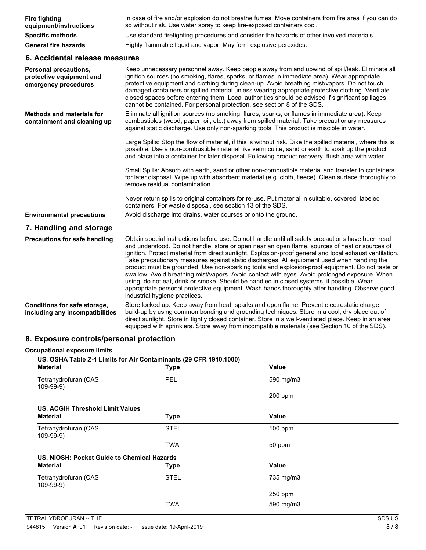| <b>Fire fighting</b><br>equipment/instructions                                   | In case of fire and/or explosion do not breathe fumes. Move containers from fire area if you can do<br>so without risk. Use water spray to keep fire-exposed containers cool.                                                                                                                                                                                                                                                                                                                                                                                                                                                                                                                                                                                                                                                                    |
|----------------------------------------------------------------------------------|--------------------------------------------------------------------------------------------------------------------------------------------------------------------------------------------------------------------------------------------------------------------------------------------------------------------------------------------------------------------------------------------------------------------------------------------------------------------------------------------------------------------------------------------------------------------------------------------------------------------------------------------------------------------------------------------------------------------------------------------------------------------------------------------------------------------------------------------------|
| <b>Specific methods</b>                                                          | Use standard firefighting procedures and consider the hazards of other involved materials.                                                                                                                                                                                                                                                                                                                                                                                                                                                                                                                                                                                                                                                                                                                                                       |
| <b>General fire hazards</b>                                                      | Highly flammable liquid and vapor. May form explosive peroxides.                                                                                                                                                                                                                                                                                                                                                                                                                                                                                                                                                                                                                                                                                                                                                                                 |
| 6. Accidental release measures                                                   |                                                                                                                                                                                                                                                                                                                                                                                                                                                                                                                                                                                                                                                                                                                                                                                                                                                  |
| <b>Personal precautions,</b><br>protective equipment and<br>emergency procedures | Keep unnecessary personnel away. Keep people away from and upwind of spill/leak. Eliminate all<br>ignition sources (no smoking, flares, sparks, or flames in immediate area). Wear appropriate<br>protective equipment and clothing during clean-up. Avoid breathing mist/vapors. Do not touch<br>damaged containers or spilled material unless wearing appropriate protective clothing. Ventilate<br>closed spaces before entering them. Local authorities should be advised if significant spillages<br>cannot be contained. For personal protection, see section 8 of the SDS.                                                                                                                                                                                                                                                                |
| <b>Methods and materials for</b><br>containment and cleaning up                  | Eliminate all ignition sources (no smoking, flares, sparks, or flames in immediate area). Keep<br>combustibles (wood, paper, oil, etc.) away from spilled material. Take precautionary measures<br>against static discharge. Use only non-sparking tools. This product is miscible in water.                                                                                                                                                                                                                                                                                                                                                                                                                                                                                                                                                     |
|                                                                                  | Large Spills: Stop the flow of material, if this is without risk. Dike the spilled material, where this is<br>possible. Use a non-combustible material like vermiculite, sand or earth to soak up the product<br>and place into a container for later disposal. Following product recovery, flush area with water.                                                                                                                                                                                                                                                                                                                                                                                                                                                                                                                               |
|                                                                                  | Small Spills: Absorb with earth, sand or other non-combustible material and transfer to containers<br>for later disposal. Wipe up with absorbent material (e.g. cloth, fleece). Clean surface thoroughly to<br>remove residual contamination.                                                                                                                                                                                                                                                                                                                                                                                                                                                                                                                                                                                                    |
|                                                                                  | Never return spills to original containers for re-use. Put material in suitable, covered, labeled<br>containers. For waste disposal, see section 13 of the SDS.                                                                                                                                                                                                                                                                                                                                                                                                                                                                                                                                                                                                                                                                                  |
| <b>Environmental precautions</b>                                                 | Avoid discharge into drains, water courses or onto the ground.                                                                                                                                                                                                                                                                                                                                                                                                                                                                                                                                                                                                                                                                                                                                                                                   |
| 7. Handling and storage                                                          |                                                                                                                                                                                                                                                                                                                                                                                                                                                                                                                                                                                                                                                                                                                                                                                                                                                  |
| <b>Precautions for safe handling</b>                                             | Obtain special instructions before use. Do not handle until all safety precautions have been read<br>and understood. Do not handle, store or open near an open flame, sources of heat or sources of<br>ignition. Protect material from direct sunlight. Explosion-proof general and local exhaust ventilation.<br>Take precautionary measures against static discharges. All equipment used when handling the<br>product must be grounded. Use non-sparking tools and explosion-proof equipment. Do not taste or<br>swallow. Avoid breathing mist/vapors. Avoid contact with eyes. Avoid prolonged exposure. When<br>using, do not eat, drink or smoke. Should be handled in closed systems, if possible. Wear<br>appropriate personal protective equipment. Wash hands thoroughly after handling. Observe good<br>industrial hygiene practices. |
| Conditions for safe storage,<br>including any incompatibilities                  | Store locked up. Keep away from heat, sparks and open flame. Prevent electrostatic charge<br>build-up by using common bonding and grounding techniques. Store in a cool, dry place out of<br>direct sunlight. Store in tightly closed container. Store in a well-ventilated place. Keep in an area<br>equipped with sprinklers. Store away from incompatible materials (see Section 10 of the SDS).                                                                                                                                                                                                                                                                                                                                                                                                                                              |

## **8. Exposure controls/personal protection**

| Material                                    | Type        | Value        |  |
|---------------------------------------------|-------------|--------------|--|
| Tetrahydrofuran (CAS<br>109-99-9)           | <b>PEL</b>  | 590 mg/m3    |  |
|                                             |             | $200$ ppm    |  |
| US. ACGIH Threshold Limit Values            |             |              |  |
| Material                                    | <b>Type</b> | <b>Value</b> |  |
| Tetrahydrofuran (CAS<br>109-99-9)           | <b>STEL</b> | $100$ ppm    |  |
|                                             | TWA         | 50 ppm       |  |
| US. NIOSH: Pocket Guide to Chemical Hazards |             |              |  |
| <b>Material</b>                             | <b>Type</b> | <b>Value</b> |  |
| Tetrahydrofuran (CAS<br>109-99-9)           | <b>STEL</b> | 735 mg/m3    |  |
|                                             |             | 250 ppm      |  |
|                                             | TWA         | 590 mg/m3    |  |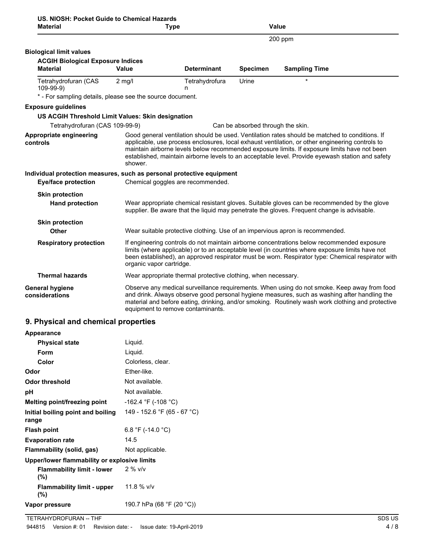| US. NIOSH: Pocket Guide to Chemical Hazards |             |
|---------------------------------------------|-------------|
| <b>Material</b>                             | <b>Type</b> |

| <b>Material</b>                                                       |                          | <b>Type</b>                                                                   |                                   | <b>Value</b>                                                                                                                                                                                                                                                                                                                                                                                          |
|-----------------------------------------------------------------------|--------------------------|-------------------------------------------------------------------------------|-----------------------------------|-------------------------------------------------------------------------------------------------------------------------------------------------------------------------------------------------------------------------------------------------------------------------------------------------------------------------------------------------------------------------------------------------------|
|                                                                       |                          |                                                                               |                                   | 200 ppm                                                                                                                                                                                                                                                                                                                                                                                               |
| <b>Biological limit values</b>                                        |                          |                                                                               |                                   |                                                                                                                                                                                                                                                                                                                                                                                                       |
| <b>ACGIH Biological Exposure Indices</b>                              |                          |                                                                               |                                   |                                                                                                                                                                                                                                                                                                                                                                                                       |
| <b>Material</b>                                                       | Value                    | <b>Determinant</b>                                                            | <b>Specimen</b>                   | <b>Sampling Time</b>                                                                                                                                                                                                                                                                                                                                                                                  |
| Tetrahydrofuran (CAS<br>109-99-9)                                     | $2$ mg/l                 | Tetrahydrofura<br>n                                                           | Urine                             | $\star$                                                                                                                                                                                                                                                                                                                                                                                               |
| * - For sampling details, please see the source document.             |                          |                                                                               |                                   |                                                                                                                                                                                                                                                                                                                                                                                                       |
| <b>Exposure guidelines</b>                                            |                          |                                                                               |                                   |                                                                                                                                                                                                                                                                                                                                                                                                       |
| US ACGIH Threshold Limit Values: Skin designation                     |                          |                                                                               |                                   |                                                                                                                                                                                                                                                                                                                                                                                                       |
| Tetrahydrofuran (CAS 109-99-9)                                        |                          |                                                                               | Can be absorbed through the skin. |                                                                                                                                                                                                                                                                                                                                                                                                       |
| <b>Appropriate engineering</b><br>controls                            | shower.                  |                                                                               |                                   | Good general ventilation should be used. Ventilation rates should be matched to conditions. If<br>applicable, use process enclosures, local exhaust ventilation, or other engineering controls to<br>maintain airborne levels below recommended exposure limits. If exposure limits have not been<br>established, maintain airborne levels to an acceptable level. Provide eyewash station and safety |
| Individual protection measures, such as personal protective equipment |                          |                                                                               |                                   |                                                                                                                                                                                                                                                                                                                                                                                                       |
| <b>Eye/face protection</b>                                            |                          | Chemical goggles are recommended.                                             |                                   |                                                                                                                                                                                                                                                                                                                                                                                                       |
| <b>Skin protection</b>                                                |                          |                                                                               |                                   |                                                                                                                                                                                                                                                                                                                                                                                                       |
| <b>Hand protection</b>                                                |                          |                                                                               |                                   | Wear appropriate chemical resistant gloves. Suitable gloves can be recommended by the glove<br>supplier. Be aware that the liquid may penetrate the gloves. Frequent change is advisable.                                                                                                                                                                                                             |
| <b>Skin protection</b>                                                |                          |                                                                               |                                   |                                                                                                                                                                                                                                                                                                                                                                                                       |
| Other                                                                 |                          | Wear suitable protective clothing. Use of an impervious apron is recommended. |                                   |                                                                                                                                                                                                                                                                                                                                                                                                       |
| <b>Respiratory protection</b>                                         | organic vapor cartridge. |                                                                               |                                   | If engineering controls do not maintain airborne concentrations below recommended exposure<br>limits (where applicable) or to an acceptable level (in countries where exposure limits have not<br>been established), an approved respirator must be worn. Respirator type: Chemical respirator with                                                                                                   |
| <b>Thermal hazards</b>                                                |                          | Wear appropriate thermal protective clothing, when necessary.                 |                                   |                                                                                                                                                                                                                                                                                                                                                                                                       |
| <b>General hygiene</b><br>considerations                              |                          | equipment to remove contaminants.                                             |                                   | Observe any medical surveillance requirements. When using do not smoke. Keep away from food<br>and drink. Always observe good personal hygiene measures, such as washing after handling the<br>material and before eating, drinking, and/or smoking. Routinely wash work clothing and protective                                                                                                      |

# **9. Physical and chemical properties**

| Appearance                                   |                             |
|----------------------------------------------|-----------------------------|
| <b>Physical state</b>                        | Liquid.                     |
| <b>Form</b>                                  | Liquid.                     |
| Color                                        | Colorless, clear.           |
| Odor                                         | Ether-like.                 |
| <b>Odor threshold</b>                        | Not available.              |
| рH                                           | Not available.              |
| Melting point/freezing point                 | $-162.4$ °F (-108 °C)       |
| Initial boiling point and boiling<br>range   | 149 - 152.6 °F (65 - 67 °C) |
| <b>Flash point</b>                           | 6.8 °F (-14.0 °C)           |
| <b>Evaporation rate</b>                      | 14.5                        |
| Flammability (solid, gas)                    | Not applicable.             |
| Upper/lower flammability or explosive limits |                             |
| <b>Flammability limit - lower</b><br>$(\%)$  | $2%$ v/v                    |
| <b>Flammability limit - upper</b><br>$(\%)$  | 11.8 % $V/V$                |
| Vapor pressure                               | 190.7 hPa (68 °F (20 °C))   |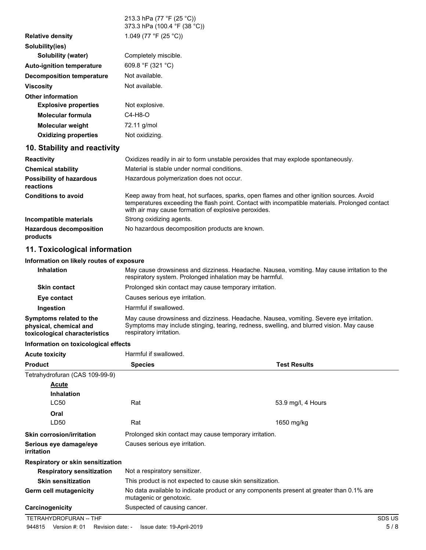|                                              | 213.3 hPa (77 °F (25 °C))<br>373.3 hPa (100.4 °F (38 °C))                                                                                                                                                                                          |
|----------------------------------------------|----------------------------------------------------------------------------------------------------------------------------------------------------------------------------------------------------------------------------------------------------|
| <b>Relative density</b>                      | 1.049 (77 °F (25 °C))                                                                                                                                                                                                                              |
| Solubility(ies)                              |                                                                                                                                                                                                                                                    |
| Solubility (water)                           | Completely miscible.                                                                                                                                                                                                                               |
| <b>Auto-ignition temperature</b>             | 609.8 °F (321 °C)                                                                                                                                                                                                                                  |
| <b>Decomposition temperature</b>             | Not available.                                                                                                                                                                                                                                     |
| <b>Viscosity</b>                             | Not available.                                                                                                                                                                                                                                     |
| <b>Other information</b>                     |                                                                                                                                                                                                                                                    |
| <b>Explosive properties</b>                  | Not explosive.                                                                                                                                                                                                                                     |
| <b>Molecular formula</b>                     | $C4-H8-O$                                                                                                                                                                                                                                          |
| <b>Molecular weight</b>                      | 72.11 g/mol                                                                                                                                                                                                                                        |
| <b>Oxidizing properties</b>                  | Not oxidizing.                                                                                                                                                                                                                                     |
| 10. Stability and reactivity                 |                                                                                                                                                                                                                                                    |
| <b>Reactivity</b>                            | Oxidizes readily in air to form unstable peroxides that may explode spontaneously.                                                                                                                                                                 |
| <b>Chemical stability</b>                    | Material is stable under normal conditions.                                                                                                                                                                                                        |
| <b>Possibility of hazardous</b><br>reactions | Hazardous polymerization does not occur.                                                                                                                                                                                                           |
| <b>Conditions to avoid</b>                   | Keep away from heat, hot surfaces, sparks, open flames and other ignition sources. Avoid<br>temperatures exceeding the flash point. Contact with incompatible materials. Prolonged contact<br>with air may cause formation of explosive peroxides. |
| Incompatible materials                       | Strong oxidizing agents.                                                                                                                                                                                                                           |
| <b>Hazardous decomposition</b><br>products   | No hazardous decomposition products are known.                                                                                                                                                                                                     |

## **11. Toxicological information**

### **Information on likely routes of exposure**

| <b>Inhalation</b>                                                                  | May cause drowsiness and dizziness. Headache. Nausea, vomiting. May cause irritation to the<br>respiratory system. Prolonged inhalation may be harmful.                                                       |
|------------------------------------------------------------------------------------|---------------------------------------------------------------------------------------------------------------------------------------------------------------------------------------------------------------|
| <b>Skin contact</b>                                                                | Prolonged skin contact may cause temporary irritation.                                                                                                                                                        |
| Eye contact                                                                        | Causes serious eve irritation.                                                                                                                                                                                |
| Ingestion                                                                          | Harmful if swallowed.                                                                                                                                                                                         |
| Symptoms related to the<br>physical, chemical and<br>toxicological characteristics | May cause drowsiness and dizziness. Headache. Nausea, vomiting. Severe eye irritation.<br>Symptoms may include stinging, tearing, redness, swelling, and blurred vision. May cause<br>respiratory irritation. |

### **Information on toxicological effects**

| <b>Acute toxicity</b>                       | Harmful if swallowed.                                                                                               |                     |        |
|---------------------------------------------|---------------------------------------------------------------------------------------------------------------------|---------------------|--------|
| <b>Product</b>                              | <b>Species</b>                                                                                                      | <b>Test Results</b> |        |
| Tetrahydrofuran (CAS 109-99-9)              |                                                                                                                     |                     |        |
| Acute                                       |                                                                                                                     |                     |        |
| <b>Inhalation</b>                           |                                                                                                                     |                     |        |
| LC50                                        | Rat                                                                                                                 | 53.9 mg/l, 4 Hours  |        |
| Oral                                        |                                                                                                                     |                     |        |
| LD50                                        | Rat                                                                                                                 | 1650 mg/kg          |        |
| <b>Skin corrosion/irritation</b>            | Prolonged skin contact may cause temporary irritation.                                                              |                     |        |
| Serious eye damage/eye<br><i>irritation</i> | Causes serious eye irritation.                                                                                      |                     |        |
| Respiratory or skin sensitization           |                                                                                                                     |                     |        |
| <b>Respiratory sensitization</b>            | Not a respiratory sensitizer.                                                                                       |                     |        |
| <b>Skin sensitization</b>                   | This product is not expected to cause skin sensitization.                                                           |                     |        |
| <b>Germ cell mutagenicity</b>               | No data available to indicate product or any components present at greater than 0.1% are<br>mutagenic or genotoxic. |                     |        |
| Carcinogenicity                             | Suspected of causing cancer.                                                                                        |                     |        |
| TETRAHYDROFURAN -- THF                      |                                                                                                                     |                     | SDS US |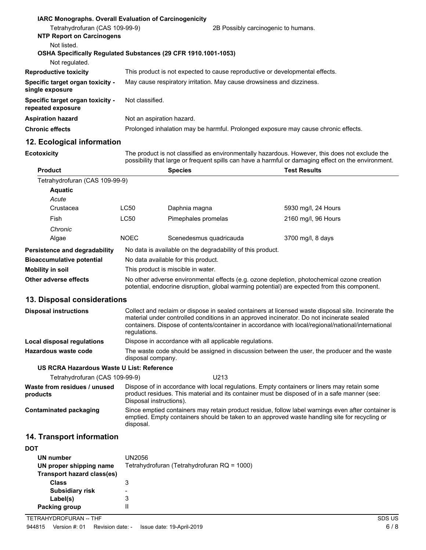| <b>IARC Monographs. Overall Evaluation of Carcinogenicity</b><br>Tetrahydrofuran (CAS 109-99-9) | 2B Possibly carcinogenic to humans.                                                |  |
|-------------------------------------------------------------------------------------------------|------------------------------------------------------------------------------------|--|
| <b>NTP Report on Carcinogens</b>                                                                |                                                                                    |  |
| Not listed.<br>Not regulated.                                                                   | OSHA Specifically Regulated Substances (29 CFR 1910.1001-1053)                     |  |
| <b>Reproductive toxicity</b>                                                                    | This product is not expected to cause reproductive or developmental effects.       |  |
| Specific target organ toxicity -<br>single exposure                                             | May cause respiratory irritation. May cause drowsiness and dizziness.              |  |
| Specific target organ toxicity -<br>repeated exposure                                           | Not classified.                                                                    |  |
| <b>Aspiration hazard</b>                                                                        | Not an aspiration hazard.                                                          |  |
| <b>Chronic effects</b>                                                                          | Prolonged inhalation may be harmful. Prolonged exposure may cause chronic effects. |  |

## **12. Ecological information**

**Ecotoxicity**

The product is not classified as environmentally hazardous. However, this does not exclude the possibility that large or frequent spills can have a harmful or damaging effect on the environment.

| <b>Product</b>                            |                                                                                                                                                                                                                  | <b>Species</b>                                                                                                                                                                                                                                                                                                         | <b>Test Results</b> |  |
|-------------------------------------------|------------------------------------------------------------------------------------------------------------------------------------------------------------------------------------------------------------------|------------------------------------------------------------------------------------------------------------------------------------------------------------------------------------------------------------------------------------------------------------------------------------------------------------------------|---------------------|--|
| Tetrahydrofuran (CAS 109-99-9)            |                                                                                                                                                                                                                  |                                                                                                                                                                                                                                                                                                                        |                     |  |
| <b>Aquatic</b>                            |                                                                                                                                                                                                                  |                                                                                                                                                                                                                                                                                                                        |                     |  |
| Acute                                     |                                                                                                                                                                                                                  |                                                                                                                                                                                                                                                                                                                        |                     |  |
| Crustacea                                 | LC50                                                                                                                                                                                                             | Daphnia magna                                                                                                                                                                                                                                                                                                          | 5930 mg/l, 24 Hours |  |
| Fish                                      | <b>LC50</b>                                                                                                                                                                                                      | Pimephales promelas                                                                                                                                                                                                                                                                                                    | 2160 mg/l, 96 Hours |  |
| Chronic                                   |                                                                                                                                                                                                                  |                                                                                                                                                                                                                                                                                                                        |                     |  |
| Algae                                     | <b>NOEC</b>                                                                                                                                                                                                      | Scenedesmus quadricauda                                                                                                                                                                                                                                                                                                | 3700 mg/l, 8 days   |  |
| Persistence and degradability             |                                                                                                                                                                                                                  | No data is available on the degradability of this product.                                                                                                                                                                                                                                                             |                     |  |
| <b>Bioaccumulative potential</b>          |                                                                                                                                                                                                                  | No data available for this product.                                                                                                                                                                                                                                                                                    |                     |  |
| <b>Mobility in soil</b>                   |                                                                                                                                                                                                                  | This product is miscible in water.                                                                                                                                                                                                                                                                                     |                     |  |
| Other adverse effects                     |                                                                                                                                                                                                                  | No other adverse environmental effects (e.g. ozone depletion, photochemical ozone creation<br>potential, endocrine disruption, global warming potential) are expected from this component.                                                                                                                             |                     |  |
| 13. Disposal considerations               |                                                                                                                                                                                                                  |                                                                                                                                                                                                                                                                                                                        |                     |  |
| <b>Disposal instructions</b>              |                                                                                                                                                                                                                  | Collect and reclaim or dispose in sealed containers at licensed waste disposal site. Incinerate the<br>material under controlled conditions in an approved incinerator. Do not incinerate sealed<br>containers. Dispose of contents/container in accordance with local/regional/national/international<br>regulations. |                     |  |
| Local disposal regulations                |                                                                                                                                                                                                                  | Dispose in accordance with all applicable regulations.                                                                                                                                                                                                                                                                 |                     |  |
| <b>Hazardous waste code</b>               |                                                                                                                                                                                                                  | The waste code should be assigned in discussion between the user, the producer and the waste<br>disposal company.                                                                                                                                                                                                      |                     |  |
| US RCRA Hazardous Waste U List: Reference |                                                                                                                                                                                                                  |                                                                                                                                                                                                                                                                                                                        |                     |  |
| Tetrahydrofuran (CAS 109-99-9)            |                                                                                                                                                                                                                  | U213                                                                                                                                                                                                                                                                                                                   |                     |  |
| Waste from residues / unused<br>products  |                                                                                                                                                                                                                  | Dispose of in accordance with local regulations. Empty containers or liners may retain some<br>product residues. This material and its container must be disposed of in a safe manner (see:<br>Disposal instructions).                                                                                                 |                     |  |
| <b>Contaminated packaging</b>             | Since emptied containers may retain product residue, follow label warnings even after container is<br>emptied. Empty containers should be taken to an approved waste handling site for recycling or<br>disposal. |                                                                                                                                                                                                                                                                                                                        |                     |  |
| 14. Transport information                 |                                                                                                                                                                                                                  |                                                                                                                                                                                                                                                                                                                        |                     |  |
| <b>DOT</b>                                |                                                                                                                                                                                                                  |                                                                                                                                                                                                                                                                                                                        |                     |  |

| UN number<br>UN proper shipping name<br>Transport hazard class(es) | UN2056<br>Tetrahydrofuran (Tetrahydrofuran RQ = 1000) |
|--------------------------------------------------------------------|-------------------------------------------------------|
| <b>Class</b>                                                       | 3                                                     |
| <b>Subsidiary risk</b>                                             | -                                                     |
| Label(s)                                                           | 3                                                     |
| Packing group                                                      | Ш                                                     |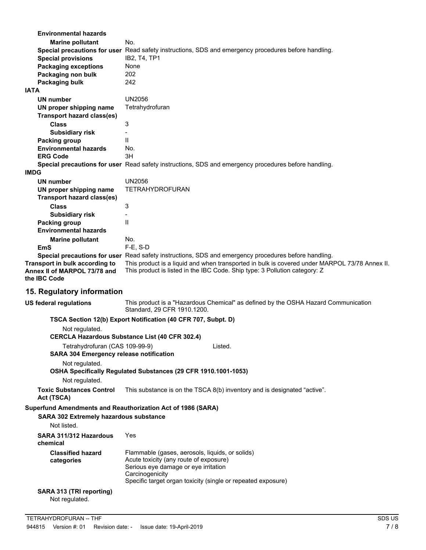| <b>Environmental hazards</b>                                                                          |                                                                                                                                                                             |  |  |
|-------------------------------------------------------------------------------------------------------|-----------------------------------------------------------------------------------------------------------------------------------------------------------------------------|--|--|
| <b>Marine pollutant</b>                                                                               | No.                                                                                                                                                                         |  |  |
|                                                                                                       | Special precautions for user Read safety instructions, SDS and emergency procedures before handling.                                                                        |  |  |
| <b>Special provisions</b>                                                                             | IB2, T4, TP1                                                                                                                                                                |  |  |
| <b>Packaging exceptions</b>                                                                           | None                                                                                                                                                                        |  |  |
| Packaging non bulk                                                                                    | 202                                                                                                                                                                         |  |  |
| Packaging bulk                                                                                        | 242                                                                                                                                                                         |  |  |
| <b>IATA</b>                                                                                           |                                                                                                                                                                             |  |  |
| UN number                                                                                             | UN2056                                                                                                                                                                      |  |  |
| UN proper shipping name                                                                               | Tetrahydrofuran                                                                                                                                                             |  |  |
| <b>Transport hazard class(es)</b>                                                                     |                                                                                                                                                                             |  |  |
| <b>Class</b>                                                                                          | 3                                                                                                                                                                           |  |  |
| <b>Subsidiary risk</b>                                                                                |                                                                                                                                                                             |  |  |
| Packing group                                                                                         | $\mathbf{H}$                                                                                                                                                                |  |  |
| <b>Environmental hazards</b>                                                                          | No.                                                                                                                                                                         |  |  |
| <b>ERG Code</b>                                                                                       | 3H                                                                                                                                                                          |  |  |
|                                                                                                       | Special precautions for user Read safety instructions, SDS and emergency procedures before handling.                                                                        |  |  |
| <b>IMDG</b>                                                                                           |                                                                                                                                                                             |  |  |
| UN number                                                                                             | <b>UN2056</b>                                                                                                                                                               |  |  |
| UN proper shipping name                                                                               | <b>TETRAHYDROFURAN</b>                                                                                                                                                      |  |  |
| <b>Transport hazard class(es)</b>                                                                     |                                                                                                                                                                             |  |  |
| <b>Class</b>                                                                                          | 3                                                                                                                                                                           |  |  |
| <b>Subsidiary risk</b>                                                                                |                                                                                                                                                                             |  |  |
| Packing group                                                                                         | $\mathbf{H}$                                                                                                                                                                |  |  |
| <b>Environmental hazards</b>                                                                          |                                                                                                                                                                             |  |  |
| <b>Marine pollutant</b>                                                                               | No.                                                                                                                                                                         |  |  |
| EmS                                                                                                   | $F-E$ , S-D                                                                                                                                                                 |  |  |
|                                                                                                       | Special precautions for user Read safety instructions, SDS and emergency procedures before handling.                                                                        |  |  |
| Transport in bulk according to<br>Annex II of MARPOL 73/78 and<br>the IBC Code                        | This product is a liquid and when transported in bulk is covered under MARPOL 73/78 Annex II.<br>This product is listed in the IBC Code. Ship type: 3 Pollution category: Z |  |  |
| 15. Regulatory information                                                                            |                                                                                                                                                                             |  |  |
| <b>US federal regulations</b>                                                                         | This product is a "Hazardous Chemical" as defined by the OSHA Hazard Communication<br>Standard, 29 CFR 1910.1200.                                                           |  |  |
|                                                                                                       | TSCA Section 12(b) Export Notification (40 CFR 707, Subpt. D)                                                                                                               |  |  |
| Not regulated.                                                                                        | <b>CERCLA Hazardous Substance List (40 CFR 302.4)</b>                                                                                                                       |  |  |
| Tetrahydrofuran (CAS 109-99-9)                                                                        | Listed.                                                                                                                                                                     |  |  |
| <b>SARA 304 Emergency release notification</b>                                                        |                                                                                                                                                                             |  |  |
| Not regulated.                                                                                        | OSHA Specifically Regulated Substances (29 CFR 1910.1001-1053)                                                                                                              |  |  |
| Not regulated.                                                                                        |                                                                                                                                                                             |  |  |
| <b>Toxic Substances Control</b><br>Act (TSCA)                                                         | This substance is on the TSCA 8(b) inventory and is designated "active".                                                                                                    |  |  |
| Superfund Amendments and Reauthorization Act of 1986 (SARA)<br>SARA 302 Extremely hazardous substance |                                                                                                                                                                             |  |  |

Not listed.

| SARA 311/312 Hazardous<br>chemical     | Yes                                                                                                                                                                                                                  |
|----------------------------------------|----------------------------------------------------------------------------------------------------------------------------------------------------------------------------------------------------------------------|
| <b>Classified hazard</b><br>categories | Flammable (gases, aerosols, liquids, or solids)<br>Acute toxicity (any route of exposure)<br>Serious eve damage or eve irritation<br>Carcinogenicity<br>Specific target organ toxicity (single or repeated exposure) |
|                                        |                                                                                                                                                                                                                      |

# **SARA 313 (TRI reporting)**

Not regulated.